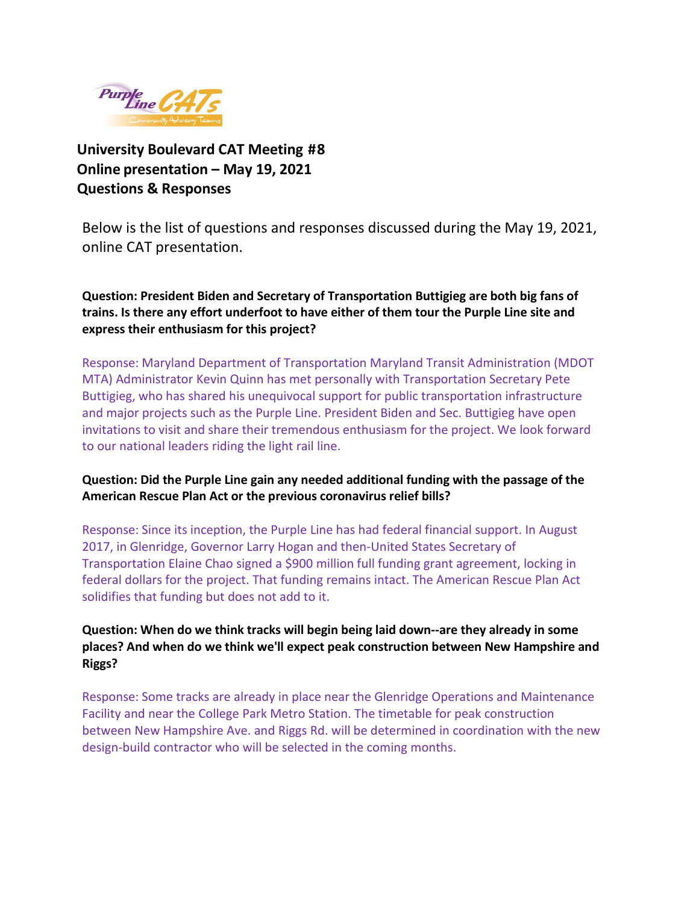

**University Boulevard CAT Meeting #8 Online presentation – May 19, 2021 Questions & Responses** 

Below is the list of questions and responses discussed during the May 19, 2021, online CAT presentation.

**Question: President Biden and Secretary of Transportation Buttigieg are both big fans of trains. Is there any effort underfoot to have either of them tour the Purple Line site and express their enthusiasm for this project?**

Response: Maryland Department of Transportation Maryland Transit Administration (MDOT MTA) Administrator Kevin Quinn has met personally with Transportation Secretary Pete Buttigieg, who has shared his unequivocal support for public transportation infrastructure and major projects such as the Purple Line. President Biden and Sec. Buttigieg have open invitations to visit and share their tremendous enthusiasm for the project. We look forward to our national leaders riding the light rail line.

# **Question: Did the Purple Line gain any needed additional funding with the passage of the American Rescue Plan Act or the previous coronavirus relief bills?**

Response: Since its inception, the Purple Line has had federal financial support. In August 2017, in Glenridge, Governor Larry Hogan and then-United States Secretary of Transportation Elaine Chao signed a \$900 million full funding grant agreement, locking in federal dollars for the project. That funding remains intact. The American Rescue Plan Act solidifies that funding but does not add to it.

**Question: When do we think tracks will begin being laid down--are they already in some places? And when do we think we'll expect peak construction between New Hampshire and Riggs?**

Response: Some tracks are already in place near the Glenridge Operations and Maintenance Facility and near the College Park Metro Station. The timetable for peak construction between New Hampshire Ave. and Riggs Rd. will be determined in coordination with the new design-build contractor who will be selected in the coming months.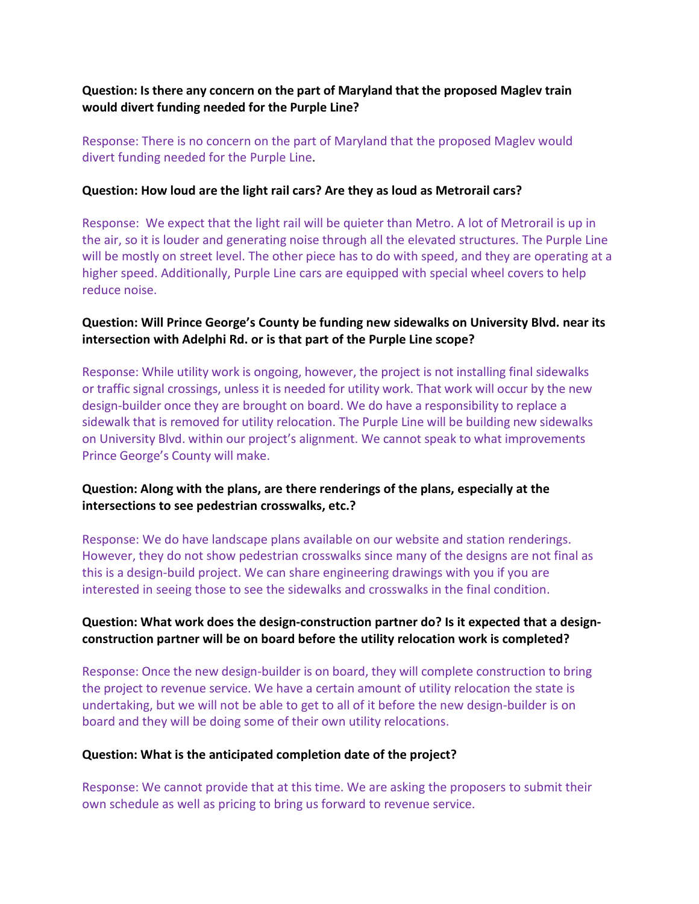**Question: Is there any concern on the part of Maryland that the proposed Maglev train would divert funding needed for the Purple Line?**

Response: There is no concern on the part of Maryland that the proposed Maglev would divert funding needed for the Purple Line.

#### **Question: How loud are the light rail cars? Are they as loud as Metrorail cars?**

Response: We expect that the light rail will be quieter than Metro. A lot of Metrorail is up in the air, so it is louder and generating noise through all the elevated structures. The Purple Line will be mostly on street level. The other piece has to do with speed, and they are operating at a higher speed. Additionally, Purple Line cars are equipped with special wheel covers to help reduce noise.

### **Question: Will Prince George's County be funding new sidewalks on University Blvd. near its intersection with Adelphi Rd. or is that part of the Purple Line scope?**

Response: While utility work is ongoing, however, the project is not installing final sidewalks or traffic signal crossings, unless it is needed for utility work. That work will occur by the new design-builder once they are brought on board. We do have a responsibility to replace a sidewalk that is removed for utility relocation. The Purple Line will be building new sidewalks on University Blvd. within our project's alignment. We cannot speak to what improvements Prince George's County will make.

# **Question: Along with the plans, are there renderings of the plans, especially at the intersections to see pedestrian crosswalks, etc.?**

Response: We do have landscape plans available on our website and station renderings. However, they do not show pedestrian crosswalks since many of the designs are not final as this is a design-build project. We can share engineering drawings with you if you are interested in seeing those to see the sidewalks and crosswalks in the final condition.

### **Question: What work does the design-construction partner do? Is it expected that a designconstruction partner will be on board before the utility relocation work is completed?**

Response: Once the new design-builder is on board, they will complete construction to bring the project to revenue service. We have a certain amount of utility relocation the state is undertaking, but we will not be able to get to all of it before the new design-builder is on board and they will be doing some of their own utility relocations.

#### **Question: What is the anticipated completion date of the project?**

Response: We cannot provide that at this time. We are asking the proposers to submit their own schedule as well as pricing to bring us forward to revenue service.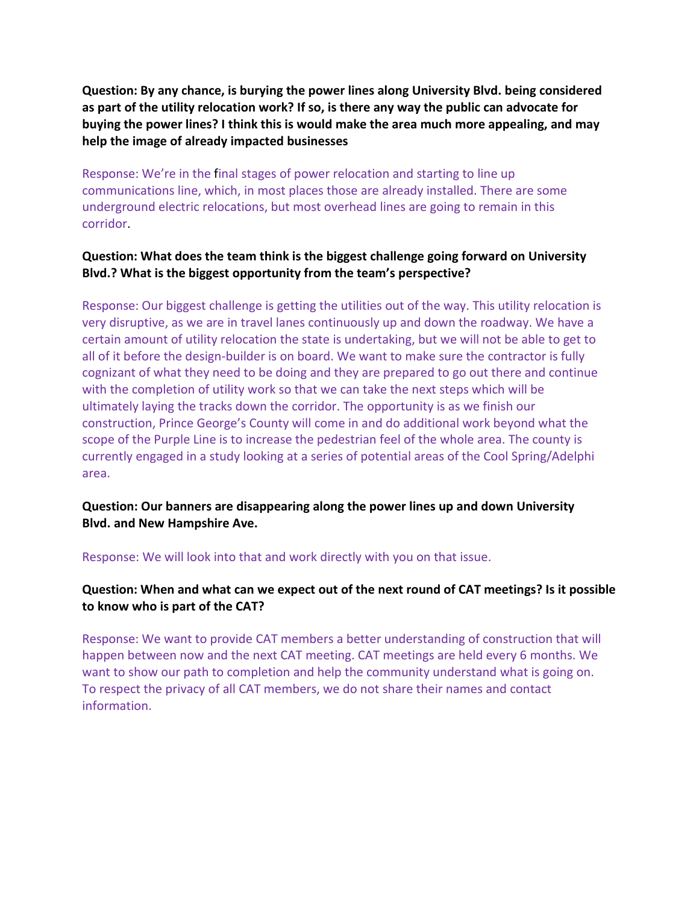**Question: By any chance, is burying the power lines along University Blvd. being considered as part of the utility relocation work? If so, is there any way the public can advocate for buying the power lines? I think this is would make the area much more appealing, and may help the image of already impacted businesses**

Response: We're in the final stages of power relocation and starting to line up communications line, which, in most places those are already installed. There are some underground electric relocations, but most overhead lines are going to remain in this corridor.

### **Question: What does the team think is the biggest challenge going forward on University Blvd.? What is the biggest opportunity from the team's perspective?**

Response: Our biggest challenge is getting the utilities out of the way. This utility relocation is very disruptive, as we are in travel lanes continuously up and down the roadway. We have a certain amount of utility relocation the state is undertaking, but we will not be able to get to all of it before the design-builder is on board. We want to make sure the contractor is fully cognizant of what they need to be doing and they are prepared to go out there and continue with the completion of utility work so that we can take the next steps which will be ultimately laying the tracks down the corridor. The opportunity is as we finish our construction, Prince George's County will come in and do additional work beyond what the scope of the Purple Line is to increase the pedestrian feel of the whole area. The county is currently engaged in a study looking at a series of potential areas of the Cool Spring/Adelphi area.

**Question: Our banners are disappearing along the power lines up and down University Blvd. and New Hampshire Ave.**

Response: We will look into that and work directly with you on that issue.

### **Question: When and what can we expect out of the next round of CAT meetings? Is it possible to know who is part of the CAT?**

Response: We want to provide CAT members a better understanding of construction that will happen between now and the next CAT meeting. CAT meetings are held every 6 months. We want to show our path to completion and help the community understand what is going on. To respect the privacy of all CAT members, we do not share their names and contact information.